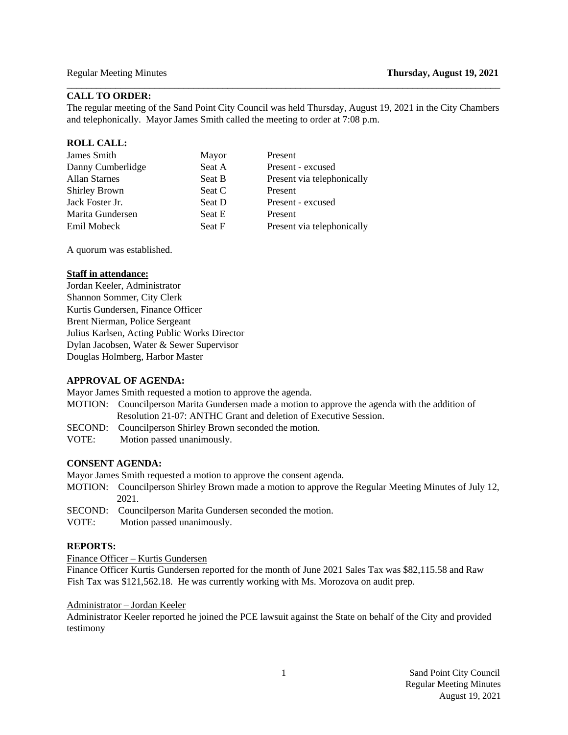### **CALL TO ORDER:**

The regular meeting of the Sand Point City Council was held Thursday, August 19, 2021 in the City Chambers and telephonically. Mayor James Smith called the meeting to order at 7:08 p.m.

\_\_\_\_\_\_\_\_\_\_\_\_\_\_\_\_\_\_\_\_\_\_\_\_\_\_\_\_\_\_\_\_\_\_\_\_\_\_\_\_\_\_\_\_\_\_\_\_\_\_\_\_\_\_\_\_\_\_\_\_\_\_\_\_\_\_\_\_\_\_\_\_\_\_\_\_\_\_\_\_\_\_\_\_\_\_\_\_\_

# **ROLL CALL:**

| James Smith          | Mayor  | Present                    |
|----------------------|--------|----------------------------|
| Danny Cumberlidge    | Seat A | Present - excused          |
| <b>Allan Starnes</b> | Seat B | Present via telephonically |
| <b>Shirley Brown</b> | Seat C | Present                    |
| Jack Foster Jr.      | Seat D | Present - excused          |
| Marita Gundersen     | Seat E | Present                    |
| Emil Mobeck          | Seat F | Present via telephonically |

A quorum was established.

### **Staff in attendance:**

Jordan Keeler, Administrator Shannon Sommer, City Clerk Kurtis Gundersen, Finance Officer Brent Nierman, Police Sergeant Julius Karlsen, Acting Public Works Director Dylan Jacobsen, Water & Sewer Supervisor Douglas Holmberg, Harbor Master

# **APPROVAL OF AGENDA:**

Mayor James Smith requested a motion to approve the agenda.

- MOTION: Councilperson Marita Gundersen made a motion to approve the agenda with the addition of Resolution 21-07: ANTHC Grant and deletion of Executive Session.
- SECOND: Councilperson Shirley Brown seconded the motion.
- VOTE:Motion passed unanimously.

#### **CONSENT AGENDA:**

Mayor James Smith requested a motion to approve the consent agenda.

- MOTION: Councilperson Shirley Brown made a motion to approve the Regular Meeting Minutes of July 12, 2021.
- SECOND: Councilperson Marita Gundersen seconded the motion.
- VOTE:Motion passed unanimously.

# **REPORTS:**

Finance Officer – Kurtis Gundersen

Finance Officer Kurtis Gundersen reported for the month of June 2021 Sales Tax was \$82,115.58 and Raw Fish Tax was \$121,562.18. He was currently working with Ms. Morozova on audit prep.

### Administrator – Jordan Keeler

Administrator Keeler reported he joined the PCE lawsuit against the State on behalf of the City and provided testimony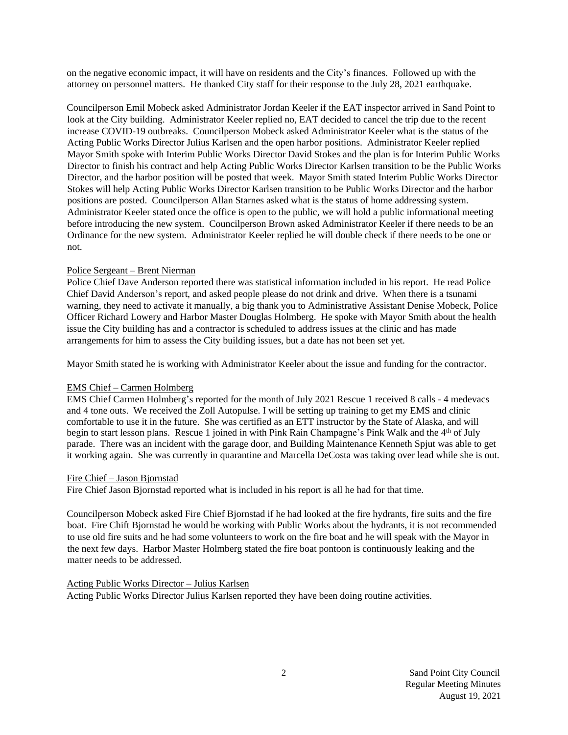on the negative economic impact, it will have on residents and the City's finances. Followed up with the attorney on personnel matters. He thanked City staff for their response to the July 28, 2021 earthquake.

Councilperson Emil Mobeck asked Administrator Jordan Keeler if the EAT inspector arrived in Sand Point to look at the City building. Administrator Keeler replied no, EAT decided to cancel the trip due to the recent increase COVID-19 outbreaks. Councilperson Mobeck asked Administrator Keeler what is the status of the Acting Public Works Director Julius Karlsen and the open harbor positions. Administrator Keeler replied Mayor Smith spoke with Interim Public Works Director David Stokes and the plan is for Interim Public Works Director to finish his contract and help Acting Public Works Director Karlsen transition to be the Public Works Director, and the harbor position will be posted that week. Mayor Smith stated Interim Public Works Director Stokes will help Acting Public Works Director Karlsen transition to be Public Works Director and the harbor positions are posted. Councilperson Allan Starnes asked what is the status of home addressing system. Administrator Keeler stated once the office is open to the public, we will hold a public informational meeting before introducing the new system. Councilperson Brown asked Administrator Keeler if there needs to be an Ordinance for the new system. Administrator Keeler replied he will double check if there needs to be one or not.

# Police Sergeant – Brent Nierman

Police Chief Dave Anderson reported there was statistical information included in his report. He read Police Chief David Anderson's report, and asked people please do not drink and drive. When there is a tsunami warning, they need to activate it manually, a big thank you to Administrative Assistant Denise Mobeck, Police Officer Richard Lowery and Harbor Master Douglas Holmberg. He spoke with Mayor Smith about the health issue the City building has and a contractor is scheduled to address issues at the clinic and has made arrangements for him to assess the City building issues, but a date has not been set yet.

Mayor Smith stated he is working with Administrator Keeler about the issue and funding for the contractor.

# EMS Chief – Carmen Holmberg

EMS Chief Carmen Holmberg's reported for the month of July 2021 Rescue 1 received 8 calls - 4 medevacs and 4 tone outs. We received the Zoll Autopulse. I will be setting up training to get my EMS and clinic comfortable to use it in the future. She was certified as an ETT instructor by the State of Alaska, and will begin to start lesson plans. Rescue 1 joined in with Pink Rain Champagne's Pink Walk and the 4<sup>th</sup> of July parade. There was an incident with the garage door, and Building Maintenance Kenneth Spjut was able to get it working again. She was currently in quarantine and Marcella DeCosta was taking over lead while she is out.

#### Fire Chief – Jason Bjornstad

Fire Chief Jason Bjornstad reported what is included in his report is all he had for that time.

Councilperson Mobeck asked Fire Chief Bjornstad if he had looked at the fire hydrants, fire suits and the fire boat. Fire Chift Bjornstad he would be working with Public Works about the hydrants, it is not recommended to use old fire suits and he had some volunteers to work on the fire boat and he will speak with the Mayor in the next few days. Harbor Master Holmberg stated the fire boat pontoon is continuously leaking and the matter needs to be addressed.

#### Acting Public Works Director – Julius Karlsen

Acting Public Works Director Julius Karlsen reported they have been doing routine activities.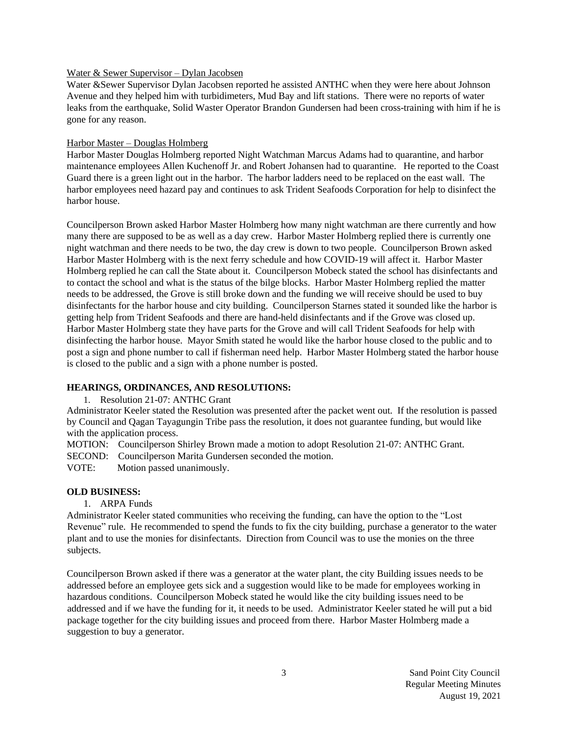### Water & Sewer Supervisor – Dylan Jacobsen

Water &Sewer Supervisor Dylan Jacobsen reported he assisted ANTHC when they were here about Johnson Avenue and they helped him with turbidimeters, Mud Bay and lift stations. There were no reports of water leaks from the earthquake, Solid Waster Operator Brandon Gundersen had been cross-training with him if he is gone for any reason.

# Harbor Master – Douglas Holmberg

Harbor Master Douglas Holmberg reported Night Watchman Marcus Adams had to quarantine, and harbor maintenance employees Allen Kuchenoff Jr. and Robert Johansen had to quarantine. He reported to the Coast Guard there is a green light out in the harbor. The harbor ladders need to be replaced on the east wall. The harbor employees need hazard pay and continues to ask Trident Seafoods Corporation for help to disinfect the harbor house.

Councilperson Brown asked Harbor Master Holmberg how many night watchman are there currently and how many there are supposed to be as well as a day crew. Harbor Master Holmberg replied there is currently one night watchman and there needs to be two, the day crew is down to two people. Councilperson Brown asked Harbor Master Holmberg with is the next ferry schedule and how COVID-19 will affect it. Harbor Master Holmberg replied he can call the State about it. Councilperson Mobeck stated the school has disinfectants and to contact the school and what is the status of the bilge blocks. Harbor Master Holmberg replied the matter needs to be addressed, the Grove is still broke down and the funding we will receive should be used to buy disinfectants for the harbor house and city building. Councilperson Starnes stated it sounded like the harbor is getting help from Trident Seafoods and there are hand-held disinfectants and if the Grove was closed up. Harbor Master Holmberg state they have parts for the Grove and will call Trident Seafoods for help with disinfecting the harbor house. Mayor Smith stated he would like the harbor house closed to the public and to post a sign and phone number to call if fisherman need help. Harbor Master Holmberg stated the harbor house is closed to the public and a sign with a phone number is posted.

# **HEARINGS, ORDINANCES, AND RESOLUTIONS:**

1. Resolution 21-07: ANTHC Grant

Administrator Keeler stated the Resolution was presented after the packet went out. If the resolution is passed by Council and Qagan Tayagungin Tribe pass the resolution, it does not guarantee funding, but would like with the application process.

MOTION: Councilperson Shirley Brown made a motion to adopt Resolution 21-07: ANTHC Grant.

SECOND: Councilperson Marita Gundersen seconded the motion.

VOTE: Motion passed unanimously.

# **OLD BUSINESS:**

# 1. ARPA Funds

Administrator Keeler stated communities who receiving the funding, can have the option to the "Lost Revenue" rule. He recommended to spend the funds to fix the city building, purchase a generator to the water plant and to use the monies for disinfectants. Direction from Council was to use the monies on the three subjects.

Councilperson Brown asked if there was a generator at the water plant, the city Building issues needs to be addressed before an employee gets sick and a suggestion would like to be made for employees working in hazardous conditions. Councilperson Mobeck stated he would like the city building issues need to be addressed and if we have the funding for it, it needs to be used. Administrator Keeler stated he will put a bid package together for the city building issues and proceed from there. Harbor Master Holmberg made a suggestion to buy a generator.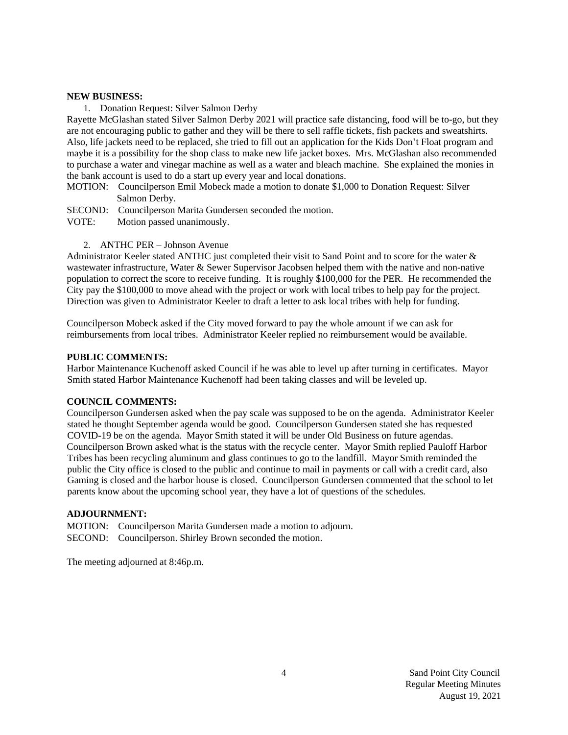### **NEW BUSINESS:**

1. Donation Request: Silver Salmon Derby

Rayette McGlashan stated Silver Salmon Derby 2021 will practice safe distancing, food will be to-go, but they are not encouraging public to gather and they will be there to sell raffle tickets, fish packets and sweatshirts. Also, life jackets need to be replaced, she tried to fill out an application for the Kids Don't Float program and maybe it is a possibility for the shop class to make new life jacket boxes. Mrs. McGlashan also recommended to purchase a water and vinegar machine as well as a water and bleach machine. She explained the monies in the bank account is used to do a start up every year and local donations.

MOTION: Councilperson Emil Mobeck made a motion to donate \$1,000 to Donation Request: Silver Salmon Derby.

SECOND: Councilperson Marita Gundersen seconded the motion.

VOTE: Motion passed unanimously.

2. ANTHC PER – Johnson Avenue

Administrator Keeler stated ANTHC just completed their visit to Sand Point and to score for the water & wastewater infrastructure, Water & Sewer Supervisor Jacobsen helped them with the native and non-native population to correct the score to receive funding. It is roughly \$100,000 for the PER. He recommended the City pay the \$100,000 to move ahead with the project or work with local tribes to help pay for the project. Direction was given to Administrator Keeler to draft a letter to ask local tribes with help for funding.

Councilperson Mobeck asked if the City moved forward to pay the whole amount if we can ask for reimbursements from local tribes. Administrator Keeler replied no reimbursement would be available.

# **PUBLIC COMMENTS:**

Harbor Maintenance Kuchenoff asked Council if he was able to level up after turning in certificates. Mayor Smith stated Harbor Maintenance Kuchenoff had been taking classes and will be leveled up.

### **COUNCIL COMMENTS:**

Councilperson Gundersen asked when the pay scale was supposed to be on the agenda. Administrator Keeler stated he thought September agenda would be good. Councilperson Gundersen stated she has requested COVID-19 be on the agenda. Mayor Smith stated it will be under Old Business on future agendas. Councilperson Brown asked what is the status with the recycle center. Mayor Smith replied Pauloff Harbor Tribes has been recycling aluminum and glass continues to go to the landfill. Mayor Smith reminded the public the City office is closed to the public and continue to mail in payments or call with a credit card, also Gaming is closed and the harbor house is closed. Councilperson Gundersen commented that the school to let parents know about the upcoming school year, they have a lot of questions of the schedules.

#### **ADJOURNMENT:**

MOTION: Councilperson Marita Gundersen made a motion to adjourn. SECOND: Councilperson. Shirley Brown seconded the motion.

The meeting adjourned at 8:46p.m.